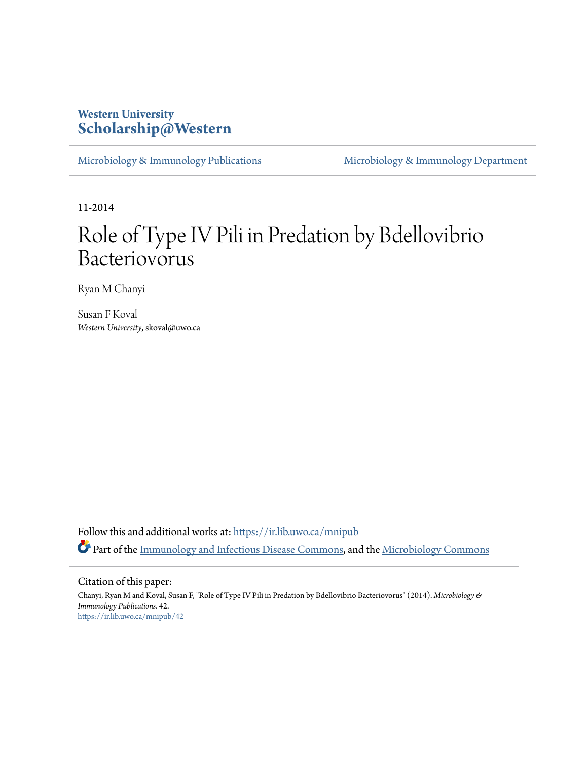# **Western University [Scholarship@Western](https://ir.lib.uwo.ca?utm_source=ir.lib.uwo.ca%2Fmnipub%2F42&utm_medium=PDF&utm_campaign=PDFCoverPages)**

[Microbiology & Immunology Publications](https://ir.lib.uwo.ca/mnipub?utm_source=ir.lib.uwo.ca%2Fmnipub%2F42&utm_medium=PDF&utm_campaign=PDFCoverPages) [Microbiology & Immunology Department](https://ir.lib.uwo.ca/mni?utm_source=ir.lib.uwo.ca%2Fmnipub%2F42&utm_medium=PDF&utm_campaign=PDFCoverPages)

11-2014

# Role of Type IV Pili in Predation by Bdellovibrio Bacteriovorus

Ryan M Chanyi

Susan F Koval *Western University*, skoval@uwo.ca

Follow this and additional works at: [https://ir.lib.uwo.ca/mnipub](https://ir.lib.uwo.ca/mnipub?utm_source=ir.lib.uwo.ca%2Fmnipub%2F42&utm_medium=PDF&utm_campaign=PDFCoverPages) Part of the [Immunology and Infectious Disease Commons,](http://network.bepress.com/hgg/discipline/33?utm_source=ir.lib.uwo.ca%2Fmnipub%2F42&utm_medium=PDF&utm_campaign=PDFCoverPages) and the [Microbiology Commons](http://network.bepress.com/hgg/discipline/48?utm_source=ir.lib.uwo.ca%2Fmnipub%2F42&utm_medium=PDF&utm_campaign=PDFCoverPages)

Citation of this paper:

Chanyi, Ryan M and Koval, Susan F, "Role of Type IV Pili in Predation by Bdellovibrio Bacteriovorus" (2014). *Microbiology & Immunology Publications*. 42. [https://ir.lib.uwo.ca/mnipub/42](https://ir.lib.uwo.ca/mnipub/42?utm_source=ir.lib.uwo.ca%2Fmnipub%2F42&utm_medium=PDF&utm_campaign=PDFCoverPages)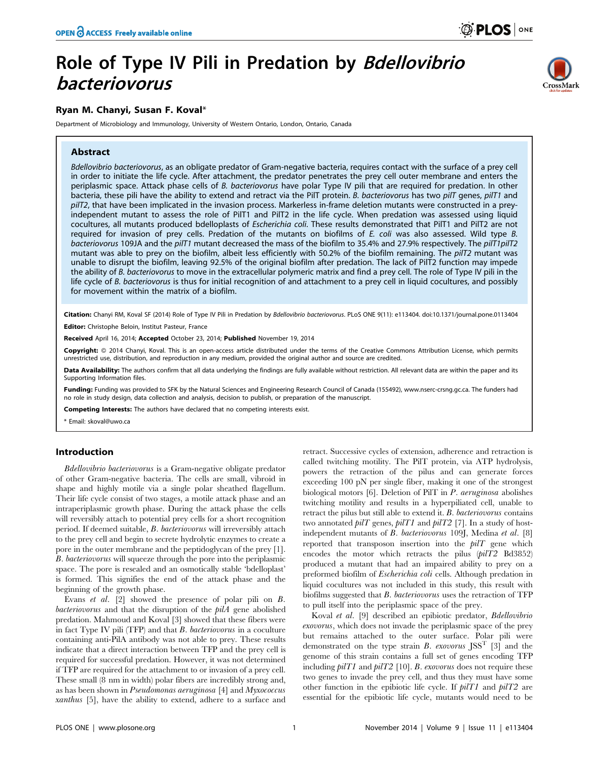# Role of Type IV Pili in Predation by Bdellovibrio bacteriovorus

# Ryan M. Chanyi, Susan F. Koval\*

Department of Microbiology and Immunology, University of Western Ontario, London, Ontario, Canada

# Abstract



Bdellovibrio bacteriovorus, as an obligate predator of Gram-negative bacteria, requires contact with the surface of a prey cell in order to initiate the life cycle. After attachment, the predator penetrates the prey cell outer membrane and enters the periplasmic space. Attack phase cells of B. bacteriovorus have polar Type IV pili that are required for predation. In other bacteria, these pili have the ability to extend and retract via the PilT protein. B. bacteriovorus has two pilT genes, pilT1 and pilT2, that have been implicated in the invasion process. Markerless in-frame deletion mutants were constructed in a preyindependent mutant to assess the role of PilT1 and PilT2 in the life cycle. When predation was assessed using liquid cocultures, all mutants produced bdelloplasts of Escherichia coli. These results demonstrated that PilT1 and PilT2 are not required for invasion of prey cells. Predation of the mutants on biofilms of E. coli was also assessed. Wild type B. bacteriovorus 109JA and the pilT1 mutant decreased the mass of the biofilm to 35.4% and 27.9% respectively. The pilT1pilT2 mutant was able to prey on the biofilm, albeit less efficiently with 50.2% of the biofilm remaining. The pilT2 mutant was unable to disrupt the biofilm, leaving 92.5% of the original biofilm after predation. The lack of PilT2 function may impede the ability of B. bacteriovorus to move in the extracellular polymeric matrix and find a prey cell. The role of Type IV pili in the life cycle of B. bacteriovorus is thus for initial recognition of and attachment to a prey cell in liquid cocultures, and possibly for movement within the matrix of a biofilm.

Citation: Chanyi RM, Koval SF (2014) Role of Type IV Pili in Predation by Bdellovibrio bacteriovorus. PLoS ONE 9(11): e113404. doi:10.1371/journal.pone.0113404

Editor: Christophe Beloin, Institut Pasteur, France

Received April 16, 2014; Accepted October 23, 2014; Published November 19, 2014

**Copyright:** © 2014 Chanyi, Koval. This is an open-access article distributed under the terms of the [Creative Commons Attribution License,](http://creativecommons.org/licenses/by/4.0/) which permits unrestricted use, distribution, and reproduction in any medium, provided the original author and source are credited.

Data Availability: The authors confirm that all data underlying the findings are fully available without restriction. All relevant data are within the paper and its Supporting Information files.

Funding: Funding was provided to SFK by the Natural Sciences and Engineering Research Council of Canada (155492),<www.nserc-crsng.gc.ca>. The funders had no role in study design, data collection and analysis, decision to publish, or preparation of the manuscript.

ompeting Interests: The authors have declared that no competing interests exist.

\* Email: skoval@uwo.ca

#### Introduction

Bdellovibrio bacteriovorus is a Gram-negative obligate predator of other Gram-negative bacteria. The cells are small, vibroid in shape and highly motile via a single polar sheathed flagellum. Their life cycle consist of two stages, a motile attack phase and an intraperiplasmic growth phase. During the attack phase the cells will reversibly attach to potential prey cells for a short recognition period. If deemed suitable, B. bacteriovorus will irreversibly attach to the prey cell and begin to secrete hydrolytic enzymes to create a pore in the outer membrane and the peptidoglycan of the prey [1]. B. bacteriovorus will squeeze through the pore into the periplasmic space. The pore is resealed and an osmotically stable 'bdelloplast' is formed. This signifies the end of the attack phase and the beginning of the growth phase.

Evans et al. [2] showed the presence of polar pili on B. bacteriovorus and that the disruption of the  $piA$  gene abolished predation. Mahmoud and Koval [3] showed that these fibers were in fact Type IV pili (TFP) and that B. bacteriovorus in a coculture containing anti-PilA antibody was not able to prey. These results indicate that a direct interaction between TFP and the prey cell is required for successful predation. However, it was not determined if TFP are required for the attachment to or invasion of a prey cell. These small (8 nm in width) polar fibers are incredibly strong and, as has been shown in Pseudomonas aeruginosa [4] and Myxococcus xanthus [5], have the ability to extend, adhere to a surface and retract. Successive cycles of extension, adherence and retraction is called twitching motility. The PilT protein, via ATP hydrolysis, powers the retraction of the pilus and can generate forces exceeding 100 pN per single fiber, making it one of the strongest biological motors [6]. Deletion of PilT in P. aeruginosa abolishes twitching motility and results in a hyperpiliated cell, unable to retract the pilus but still able to extend it. B. bacteriovorus contains two annotated  $pilT$  genes,  $pilT1$  and  $pilT2$  [7]. In a study of hostindependent mutants of B. bacteriovorus 109J, Medina et al. [8] reported that transposon insertion into the  $piT$  gene which encodes the motor which retracts the pilus (pilT2 Bd3852) produced a mutant that had an impaired ability to prey on a preformed biofilm of Escherichia coli cells. Although predation in liquid cocultures was not included in this study, this result with biofilms suggested that B. bacteriovorus uses the retraction of TFP to pull itself into the periplasmic space of the prey.

Koval et al. [9] described an epibiotic predator, Bdellovibrio exovorus, which does not invade the periplasmic space of the prey but remains attached to the outer surface. Polar pili were demonstrated on the type strain B. exovorus  $JSS<sup>T</sup>$  [3] and the genome of this strain contains a full set of genes encoding TFP including  $piIT1$  and  $piT2$  [10]. B. exovorus does not require these two genes to invade the prey cell, and thus they must have some other function in the epibiotic life cycle. If  $piIT1$  and  $piT2$  are essential for the epibiotic life cycle, mutants would need to be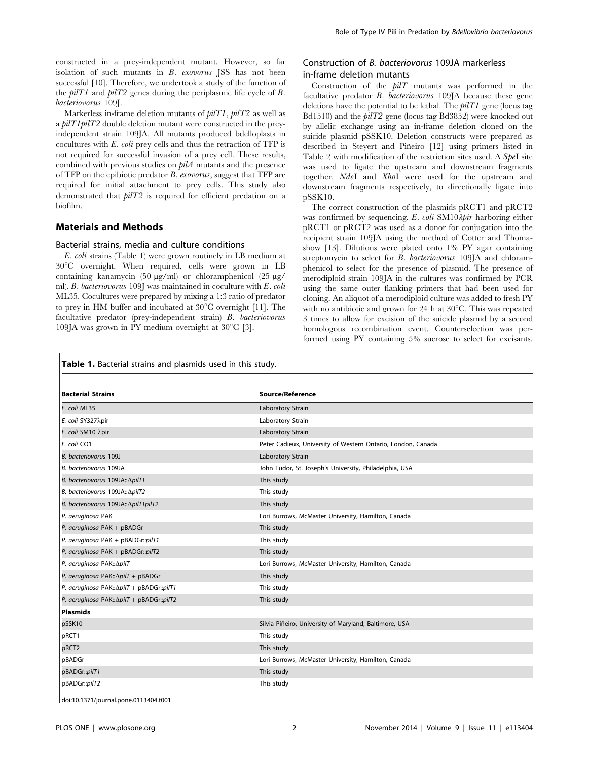constructed in a prey-independent mutant. However, so far isolation of such mutants in B. exovorus JSS has not been successful [10]. Therefore, we undertook a study of the function of the  $piIT1$  and  $piT2$  genes during the periplasmic life cycle of B. bacteriovorus 109J.

Markerless in-frame deletion mutants of pilT1, pilT2 as well as a pilT1pilT2 double deletion mutant were constructed in the preyindependent strain 109JA. All mutants produced bdelloplasts in cocultures with E. coli prey cells and thus the retraction of TFP is not required for successful invasion of a prey cell. These results, combined with previous studies on  $bilA$  mutants and the presence of TFP on the epibiotic predator B. exovorus, suggest that TFP are required for initial attachment to prey cells. This study also demonstrated that pilT2 is required for efficient predation on a biofilm.

#### Materials and Methods

#### Bacterial strains, media and culture conditions

E. coli strains (Table 1) were grown routinely in LB medium at  $30^{\circ}$ C overnight. When required, cells were grown in LB containing kanamycin (50  $\mu$ g/ml) or chloramphenicol (25  $\mu$ g/ ml). B. bacteriovorus 109J was maintained in coculture with E. coli ML35. Cocultures were prepared by mixing a 1:3 ratio of predator to prey in HM buffer and incubated at  $30^{\circ}$ C overnight [11]. The facultative predator (prey-independent strain) B. bacteriovorus 109JA was grown in PY medium overnight at  $30^{\circ}$ C [3].

## Construction of B. bacteriovorus 109JA markerless in-frame deletion mutants

Construction of the  $piT$  mutants was performed in the facultative predator B. bacteriovorus 109JA because these gene deletions have the potential to be lethal. The  $piIT1$  gene (locus tag Bd1510) and the pilT2 gene (locus tag Bd3852) were knocked out by allelic exchange using an in-frame deletion cloned on the suicide plasmid pSSK10. Deletion constructs were prepared as described in Steyert and Piñeiro [12] using primers listed in Table 2 with modification of the restriction sites used. A  $SpeI$  site was used to ligate the upstream and downstream fragments together. NdeI and XhoI were used for the upstream and downstream fragments respectively, to directionally ligate into pSSK10.

The correct construction of the plasmids pRCT1 and pRCT2 was confirmed by sequencing. E. coli  $\text{SM10\textit{A}\textit{pir}}$  harboring either pRCT1 or pRCT2 was used as a donor for conjugation into the recipient strain 109JA using the method of Cotter and Thomashow [13]. Dilutions were plated onto 1% PY agar containing streptomycin to select for *B. bacteriovorus* 109JA and chloramphenicol to select for the presence of plasmid. The presence of merodiploid strain 109JA in the cultures was confirmed by PCR using the same outer flanking primers that had been used for cloning. An aliquot of a merodiploid culture was added to fresh PY with no antibiotic and grown for  $24$  h at  $30^{\circ}$ C. This was repeated 3 times to allow for excision of the suicide plasmid by a second homologous recombination event. Counterselection was performed using PY containing 5% sucrose to select for excisants.

#### Table 1. Bacterial strains and plasmids used in this study.

| <b>Bacterial Strains</b>                   | Source/Reference                                             |
|--------------------------------------------|--------------------------------------------------------------|
| E. coli ML35                               | Laboratory Strain                                            |
| E. coli SY327λpir                          | Laboratory Strain                                            |
| E. coli SM10 λpir                          | Laboratory Strain                                            |
| E. coli CO1                                | Peter Cadieux, University of Western Ontario, London, Canada |
| B. bacteriovorus 109J                      | Laboratory Strain                                            |
| B. bacteriovorus 109JA                     | John Tudor, St. Joseph's University, Philadelphia, USA       |
| B. bacteriovorus 109JA:: ApilT1            | This study                                                   |
| B. bacteriovorus 109JA:: ApilT2            | This study                                                   |
| B. bacteriovorus 109JA:: ApilT1pilT2       | This study                                                   |
| P. aeruginosa PAK                          | Lori Burrows, McMaster University, Hamilton, Canada          |
| P. aeruginosa PAK + pBADGr                 | This study                                                   |
| P. aeruginosa PAK + pBADGr::pilT1          | This study                                                   |
| P. aeruginosa PAK + pBADGr::pilT2          | This study                                                   |
| P. aeruginosa PAK:: ApilT                  | Lori Burrows, McMaster University, Hamilton, Canada          |
| P. aeruginosa PAK:: ApilT + pBADGr         | This study                                                   |
| P. aeruginosa PAK:: ApilT + pBADGr:: pilT1 | This study                                                   |
| P. aeruginosa PAK:: ApilT + pBADGr:: pilT2 | This study                                                   |
| <b>Plasmids</b>                            |                                                              |
| pSSK10                                     | Silvia Piñeiro, University of Maryland, Baltimore, USA       |
| pRCT1                                      | This study                                                   |
| pRCT <sub>2</sub>                          | This study                                                   |
| pBADGr                                     | Lori Burrows, McMaster University, Hamilton, Canada          |
| pBADGr::pilT1                              | This study                                                   |
| pBADGr::pilT2                              | This study                                                   |

doi:10.1371/journal.pone.0113404.t001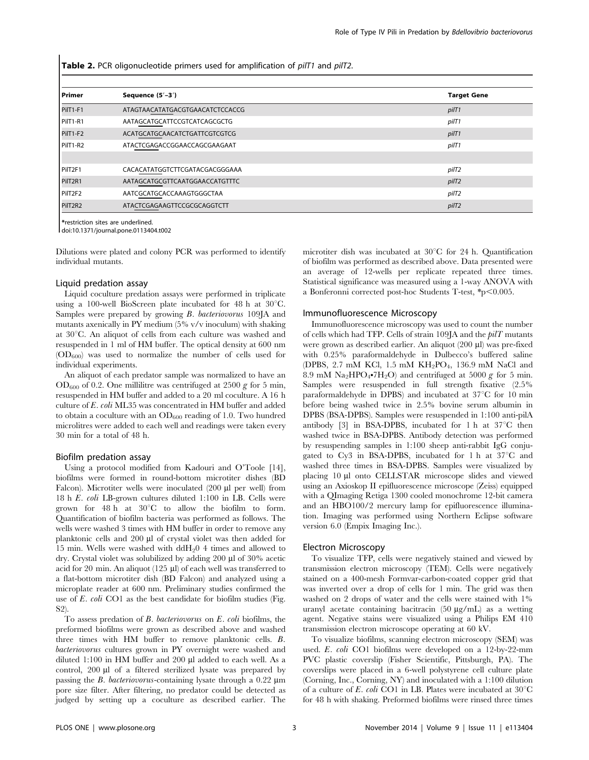Table 2. PCR oligonucleotide primers used for amplification of pilT1 and pilT2.

| l Primer            | Sequence (5'-3')                | <b>Target Gene</b> |
|---------------------|---------------------------------|--------------------|
| PilT1-F1            | ATAGTAACATATGACGTGAACATCTCCACCG | pilT1              |
| PilT1-R1            | AATAGCATGCATTCCGTCATCAGCGCTG    | pilT1              |
| PilT1-F2            | ACATGCATGCAACATCTGATTCGTCGTCG   | pilT1              |
| PilT1-R2            | ATACTCGAGACCGGAACCAGCGAAGAAT    | pilT1              |
|                     |                                 |                    |
| PilT <sub>2F1</sub> | CACACATATGGTCTTCGATACGACGGGAAA  | pilT2              |
| PilT2R1             | AATAGCATGCGTTCAATGGAACCATGTTTC  | pilT <sub>2</sub>  |
| PilT <sub>2F2</sub> | AATCGCATGCACCAAAGTGGGCTAA       | pilT2              |
| PilT2R2             | ATACTCGAGAAGTTCCGCGCAGGTCTT     | pilT <sub>2</sub>  |

\*restriction sites are underlined.

doi:10.1371/journal.pone.0113404.t002

Dilutions were plated and colony PCR was performed to identify individual mutants.

#### Liquid predation assay

Liquid coculture predation assays were performed in triplicate using a 100-well BioScreen plate incubated for 48 h at  $30^{\circ}$ C. Samples were prepared by growing B. bacteriovorus 109JA and mutants axenically in PY medium (5% v/v inoculum) with shaking at  $30^{\circ}$ C. An aliquot of cells from each culture was washed and resuspended in 1 ml of HM buffer. The optical density at 600 nm  $(OD<sub>600</sub>)$  was used to normalize the number of cells used for individual experiments.

An aliquot of each predator sample was normalized to have an  $OD_{600}$  of 0.2. One millilitre was centrifuged at 2500 g for 5 min, resuspended in HM buffer and added to a 20 ml coculture. A 16 h culture of E. coli ML35 was concentrated in HM buffer and added to obtain a coculture with an  $OD_{600}$  reading of 1.0. Two hundred microlitres were added to each well and readings were taken every 30 min for a total of 48 h.

#### Biofilm predation assay

Using a protocol modified from Kadouri and O'Toole [14], biofilms were formed in round-bottom microtiter dishes (BD Falcon). Microtiter wells were inoculated (200 µl per well) from 18 h E. coli LB-grown cultures diluted 1:100 in LB. Cells were grown for 48 h at  $30^{\circ}$ C to allow the biofilm to form. Quantification of biofilm bacteria was performed as follows. The wells were washed 3 times with HM buffer in order to remove any planktonic cells and  $200 \mu l$  of crystal violet was then added for 15 min. Wells were washed with  $ddH<sub>2</sub>0$  4 times and allowed to dry. Crystal violet was solubilized by adding 200 µl of 30% acetic acid for 20 min. An aliquot (125  $\mu$ l) of each well was transferred to a flat-bottom microtiter dish (BD Falcon) and analyzed using a microplate reader at 600 nm. Preliminary studies confirmed the use of E. coli CO1 as the best candidate for biofilm studies (Fig. S2).

To assess predation of B. bacteriovorus on E. coli biofilms, the preformed biofilms were grown as described above and washed three times with HM buffer to remove planktonic cells. B. bacteriovorus cultures grown in PY overnight were washed and diluted  $1:100$  in HM buffer and  $200 \mu l$  added to each well. As a control,  $200 \mu l$  of a filtered sterilized lysate was prepared by passing the *B. bacteriovorus*-containing lysate through a  $0.22 \mu m$ pore size filter. After filtering, no predator could be detected as judged by setting up a coculture as described earlier. The

microtiter dish was incubated at  $30^{\circ}$ C for 24 h. Quantification of biofilm was performed as described above. Data presented were an average of 12-wells per replicate repeated three times. Statistical significance was measured using a 1-way ANOVA with a Bonferonni corrected post-hoc Students T-test,  $p$  $0.005$ .

#### Immunofluorescence Microscopy

Immunofluorescence microscopy was used to count the number of cells which had TFP. Cells of strain 109JA and the  $piT$  mutants were grown as described earlier. An aliquot (200 µl) was pre-fixed with 0.25% paraformaldehyde in Dulbecco's buffered saline (DPBS, 2.7 mM KCl, 1.5 mM KH<sub>2</sub>PO<sub>4</sub>, 136.9 mM NaCl and 8.9 mM Na<sub>2</sub>HPO<sub>4</sub>•7H<sub>2</sub>O) and centrifuged at 5000 g for 5 min. Samples were resuspended in full strength fixative (2.5% paraformaldehyde in DPBS) and incubated at  $37^{\circ}$ C for 10 min before being washed twice in 2.5% bovine serum albumin in DPBS (BSA-DPBS). Samples were resuspended in 1:100 anti-pilA antibody  $[3]$  in BSA-DPBS, incubated for 1 h at  $37^{\circ}$ C then washed twice in BSA-DPBS. Antibody detection was performed by resuspending samples in 1:100 sheep anti-rabbit IgG conjugated to Cy3 in BSA-DPBS, incubated for 1 h at  $37^{\circ}$ C and washed three times in BSA-DPBS. Samples were visualized by placing 10 µl onto CELLSTAR microscope slides and viewed using an Axioskop II epifluorescence microscope (Zeiss) equipped with a QImaging Retiga 1300 cooled monochrome 12-bit camera and an HBO100/2 mercury lamp for epifluorescence illumination. Imaging was performed using Northern Eclipse software version 6.0 (Empix Imaging Inc.).

#### Electron Microscopy

To visualize TFP, cells were negatively stained and viewed by transmission electron microscopy (TEM). Cells were negatively stained on a 400-mesh Formvar-carbon-coated copper grid that was inverted over a drop of cells for 1 min. The grid was then washed on 2 drops of water and the cells were stained with 1% uranyl acetate containing bacitracin  $(50 \mu g/mL)$  as a wetting agent. Negative stains were visualized using a Philips EM 410 transmission electron microscope operating at 60 kV.

To visualize biofilms, scanning electron microscopy (SEM) was used. E. coli CO1 biofilms were developed on a 12-by-22-mm PVC plastic coverslip (Fisher Scientific, Pittsburgh, PA). The coverslips were placed in a 6-well polystyrene cell culture plate (Corning, Inc., Corning, NY) and inoculated with a 1:100 dilution of a culture of E. coli CO1 in LB. Plates were incubated at  $30^{\circ}$ C for 48 h with shaking. Preformed biofilms were rinsed three times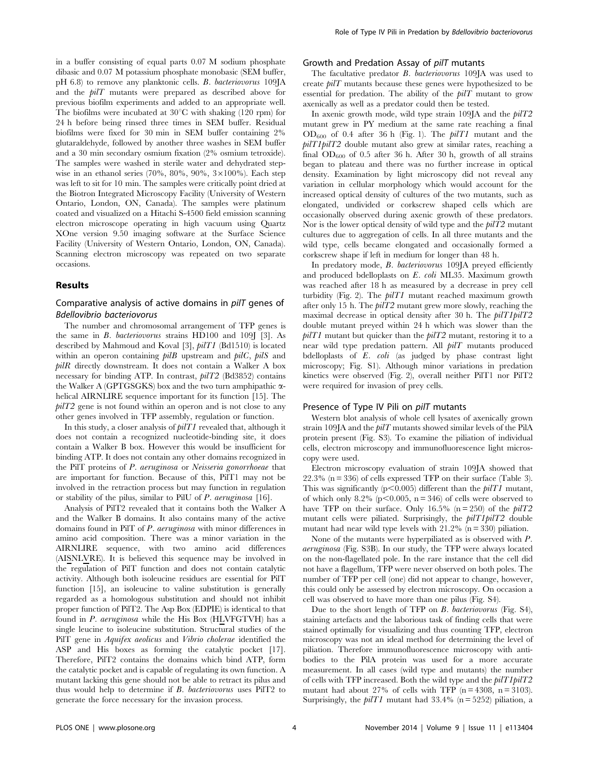in a buffer consisting of equal parts 0.07 M sodium phosphate dibasic and 0.07 M potassium phosphate monobasic (SEM buffer, pH 6.8) to remove any planktonic cells. B. bacteriovorus 109JA and the pilT mutants were prepared as described above for previous biofilm experiments and added to an appropriate well. The biofilms were incubated at  $30^{\circ}$ C with shaking (120 rpm) for 24 h before being rinsed three times in SEM buffer. Residual biofilms were fixed for 30 min in SEM buffer containing 2% glutaraldehyde, followed by another three washes in SEM buffer and a 30 min secondary osmium fixation (2% osmium tetroxide). The samples were washed in sterile water and dehydrated stepwise in an ethanol series (70%, 80%, 90%,  $3 \times 100$ %). Each step was left to sit for 10 min. The samples were critically point dried at the Biotron Integrated Microscopy Facility (University of Western Ontario, London, ON, Canada). The samples were platinum coated and visualized on a Hitachi S-4500 field emission scanning electron microscope operating in high vacuum using Quartz XOne version 9.50 imaging software at the Surface Science Facility (University of Western Ontario, London, ON, Canada). Scanning electron microscopy was repeated on two separate occasions.

#### Results

## Comparative analysis of active domains in pilT genes of Bdellovibrio bacteriovorus

The number and chromosomal arrangement of TFP genes is the same in  $B$ . *bacteriovorus* strains  $HD100$  and  $109$  [3]. As described by Mahmoud and Koval [3], pilT1 (Bd1510) is located within an operon containing  $pilB$  upstream and  $pilC$ ,  $pilS$  and  $\emph{piR}$  directly downstream. It does not contain a Walker A box necessary for binding ATP. In contrast,  $piT2$  (Bd3852) contains the Walker A (GPTGSGKS) box and the two turn amphipathic  $\alpha$ helical AIRNLIRE sequence important for its function [15]. The  $piT2$  gene is not found within an operon and is not close to any other genes involved in TFP assembly, regulation or function.

In this study, a closer analysis of pilT1 revealed that, although it does not contain a recognized nucleotide-binding site, it does contain a Walker B box. However this would be insufficient for binding ATP. It does not contain any other domains recognized in the PilT proteins of P. aeruginosa or Neisseria gonorrhoeae that are important for function. Because of this, PilT1 may not be involved in the retraction process but may function in regulation or stability of the pilus, similar to PilU of P. aeruginosa [16].

Analysis of PilT2 revealed that it contains both the Walker A and the Walker B domains. It also contains many of the active domains found in PilT of P. aeruginosa with minor differences in amino acid composition. There was a minor variation in the AIRNLIRE sequence, with two amino acid differences (AISNLVRE). It is believed this sequence may be involved in the regulation of PilT function and does not contain catalytic activity. Although both isoleucine residues are essential for PilT function [15], an isoleucine to valine substitution is generally regarded as a homologous substitution and should not inhibit proper function of PilT2. The Asp Box (EDPIE) is identical to that found in P. aeruginosa while the His Box (HLVFGTVH) has a single leucine to isoleucine substitution. Structural studies of the PilT gene in *Aquifex aeolicus* and *Vibrio cholerae* identified the ASP and His boxes as forming the catalytic pocket [17]. Therefore, PilT2 contains the domains which bind ATP, form the catalytic pocket and is capable of regulating its own function. A mutant lacking this gene should not be able to retract its pilus and thus would help to determine if B. bacteriovorus uses PilT2 to generate the force necessary for the invasion process.

#### Growth and Predation Assay of pilT mutants

The facultative predator B. bacteriovorus 109JA was used to create pilT mutants because these genes were hypothesized to be essential for predation. The ability of the  $piT$  mutant to grow axenically as well as a predator could then be tested.

In axenic growth mode, wild type strain  $109$ JA and the  $piT2$ mutant grew in PY medium at the same rate reaching a final  $OD_{600}$  of 0.4 after 36 h (Fig. 1). The  $piTI$  mutant and the  $piT1piT2$  double mutant also grew at similar rates, reaching a final  $OD_{600}$  of 0.5 after 36 h. After 30 h, growth of all strains began to plateau and there was no further increase in optical density. Examination by light microscopy did not reveal any variation in cellular morphology which would account for the increased optical density of cultures of the two mutants, such as elongated, undivided or corkscrew shaped cells which are occasionally observed during axenic growth of these predators. Nor is the lower optical density of wild type and the pilT2 mutant cultures due to aggregation of cells. In all three mutants and the wild type, cells became elongated and occasionally formed a corkscrew shape if left in medium for longer than 48 h.

In predatory mode, B. bacteriovorus 109JA preyed efficiently and produced bdelloplasts on E. coli ML35. Maximum growth was reached after 18 h as measured by a decrease in prey cell turbidity (Fig. 2). The  $piTI$  mutant reached maximum growth after only 15 h. The  $piT2$  mutant grew more slowly, reaching the maximal decrease in optical density after 30 h. The  $piTTpilT2$ double mutant preyed within 24 h which was slower than the  $piT1$  mutant but quicker than the  $piT2$  mutant, restoring it to a near wild type predation pattern. All  $pilT$  mutants produced bdelloplasts of  $E$ .  $\text{coli}$  (as judged by phase contrast light microscopy; Fig. S1). Although minor variations in predation kinetics were observed (Fig. 2), overall neither PilT1 nor PilT2 were required for invasion of prey cells.

#### Presence of Type IV Pili on pilT mutants

Western blot analysis of whole cell lysates of axenically grown strain 109JA and the  $piT$  mutants showed similar levels of the PilA protein present (Fig. S3). To examine the piliation of individual cells, electron microscopy and immunofluorescence light microscopy were used.

Electron microscopy evaluation of strain 109JA showed that  $22.3\%$  (n = 336) of cells expressed TFP on their surface (Table 3). This was significantly ( $p<0.005$ ) different than the *pilT1* mutant, of which only 8.2% ( $p<0.005$ ,  $n = 346$ ) of cells were observed to have TFP on their surface. Only 16.5% (n = 250) of the  $piT2$ mutant cells were piliated. Surprisingly, the  $piT1piT2$  double mutant had near wild type levels with  $21.2\%$  (n = 330) piliation.

None of the mutants were hyperpiliated as is observed with P. aeruginosa (Fig. S3B). In our study, the TFP were always located on the non-flagellated pole. In the rare instance that the cell did not have a flagellum, TFP were never observed on both poles. The number of TFP per cell (one) did not appear to change, however, this could only be assessed by electron microscopy. On occasion a cell was observed to have more than one pilus (Fig. S4).

Due to the short length of TFP on B. bacteriovorus (Fig. S4), staining artefacts and the laborious task of finding cells that were stained optimally for visualizing and thus counting TFP, electron microscopy was not an ideal method for determining the level of piliation. Therefore immunofluorescence microscopy with antibodies to the PilA protein was used for a more accurate measurement. In all cases (wild type and mutants) the number of cells with TFP increased. Both the wild type and the  $piT1piT2$ mutant had about 27% of cells with TFP ( $n = 4308$ ,  $n = 3103$ ). Surprisingly, the  $piT1$  mutant had 33.4% (n = 5252) piliation, a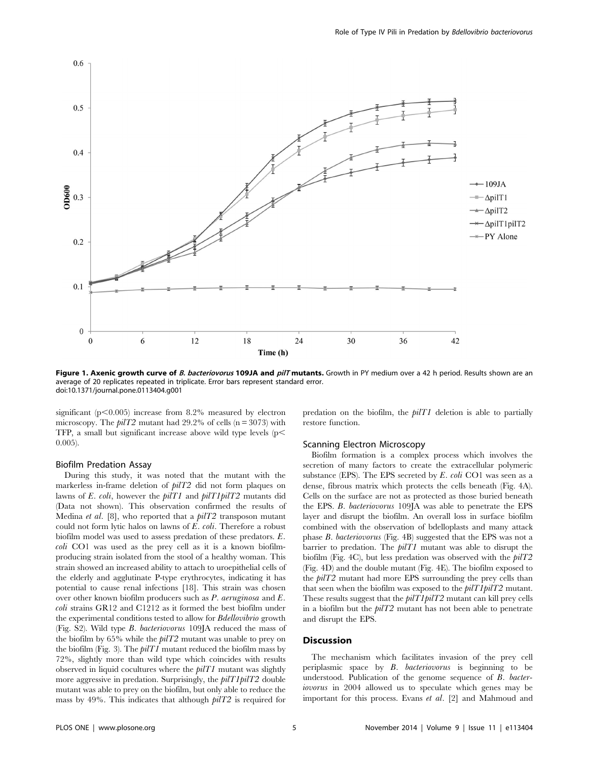

Figure 1. Axenic growth curve of B. bacteriovorus 109JA and pilT mutants. Growth in PY medium over a 42 h period. Results shown are an average of 20 replicates repeated in triplicate. Error bars represent standard error. doi:10.1371/journal.pone.0113404.g001

significant  $(p<0.005)$  increase from 8.2% measured by electron microscopy. The  $piT2$  mutant had 29.2% of cells (n = 3073) with TFP, a small but significant increase above wild type levels  $(p<$ 0.005).

#### Biofilm Predation Assay

During this study, it was noted that the mutant with the markerless in-frame deletion of pilT2 did not form plaques on lawns of E. coli, however the pilT1 and pilT1pilT2 mutants did (Data not shown). This observation confirmed the results of Medina *et al.* [8], who reported that a  $piT2$  transposon mutant could not form lytic halos on lawns of E. coli. Therefore a robust biofilm model was used to assess predation of these predators. E. coli CO1 was used as the prey cell as it is a known biofilmproducing strain isolated from the stool of a healthy woman. This strain showed an increased ability to attach to uroepithelial cells of the elderly and agglutinate P-type erythrocytes, indicating it has potential to cause renal infections [18]. This strain was chosen over other known biofilm producers such as P. aeruginosa and E. coli strains GR12 and C1212 as it formed the best biofilm under the experimental conditions tested to allow for Bdellovibrio growth (Fig. S2). Wild type B. bacteriovorus 109JA reduced the mass of the biofilm by 65% while the pilT2 mutant was unable to prey on the biofilm (Fig. 3). The  $pilT1$  mutant reduced the biofilm mass by 72%, slightly more than wild type which coincides with results observed in liquid cocultures where the  $piTI$  mutant was slightly more aggressive in predation. Surprisingly, the  $piT1piT2$  double mutant was able to prey on the biofilm, but only able to reduce the mass by 49%. This indicates that although pilT2 is required for

predation on the biofilm, the  $piTI$  deletion is able to partially restore function.

#### Scanning Electron Microscopy

Biofilm formation is a complex process which involves the secretion of many factors to create the extracellular polymeric substance (EPS). The EPS secreted by  $E.$  coli CO1 was seen as a dense, fibrous matrix which protects the cells beneath (Fig. 4A). Cells on the surface are not as protected as those buried beneath the EPS. B. bacteriovorus 109JA was able to penetrate the EPS layer and disrupt the biofilm. An overall loss in surface biofilm combined with the observation of bdelloplasts and many attack phase B. bacteriovorus (Fig. 4B) suggested that the EPS was not a barrier to predation. The  $piT1$  mutant was able to disrupt the biofilm (Fig. 4C), but less predation was observed with the  $piT2$ (Fig. 4D) and the double mutant (Fig. 4E). The biofilm exposed to the  $piT2$  mutant had more EPS surrounding the prey cells than that seen when the biofilm was exposed to the  $piT1piT2$  mutant. These results suggest that the *pilT1pilT2* mutant can kill prey cells in a biofilm but the  $piT2$  mutant has not been able to penetrate and disrupt the EPS.

#### **Discussion**

The mechanism which facilitates invasion of the prey cell periplasmic space by B. bacteriovorus is beginning to be understood. Publication of the genome sequence of B. bacteriovorus in 2004 allowed us to speculate which genes may be important for this process. Evans et al. [2] and Mahmoud and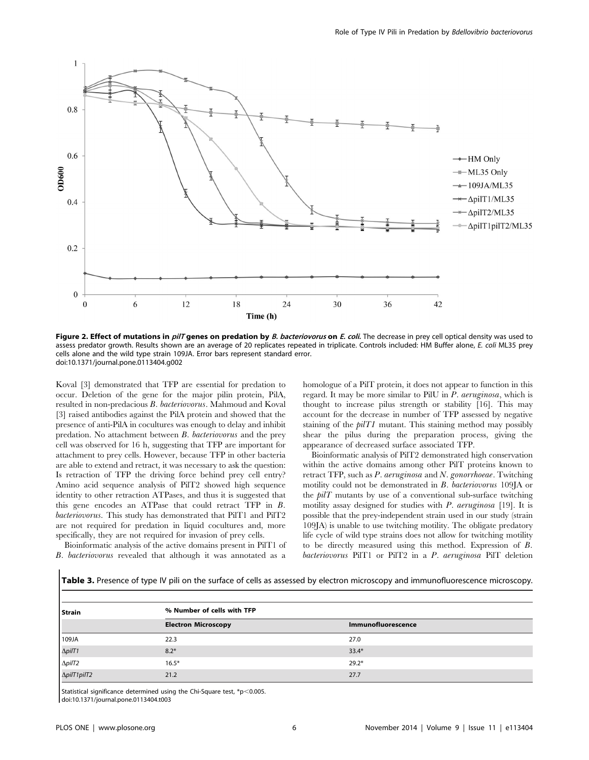

Figure 2. Effect of mutations in *pilT* genes on predation by *B. bacteriovorus* on *E. coli*. The decrease in prey cell optical density was used to assess predator growth. Results shown are an average of 20 replicates repeated in triplicate. Controls included: HM Buffer alone, E. coli ML35 prey cells alone and the wild type strain 109JA. Error bars represent standard error. doi:10.1371/journal.pone.0113404.g002

Koval [3] demonstrated that TFP are essential for predation to occur. Deletion of the gene for the major pilin protein, PilA, resulted in non-predacious B. bacteriovorus. Mahmoud and Koval [3] raised antibodies against the PilA protein and showed that the presence of anti-PilA in cocultures was enough to delay and inhibit predation. No attachment between B. bacteriovorus and the prey cell was observed for 16 h, suggesting that TFP are important for attachment to prey cells. However, because TFP in other bacteria are able to extend and retract, it was necessary to ask the question: Is retraction of TFP the driving force behind prey cell entry? Amino acid sequence analysis of PilT2 showed high sequence identity to other retraction ATPases, and thus it is suggested that this gene encodes an ATPase that could retract TFP in B. bacteriovorus. This study has demonstrated that PilT1 and PilT2 are not required for predation in liquid cocultures and, more specifically, they are not required for invasion of prey cells.

Bioinformatic analysis of the active domains present in PilT1 of B. bacteriovorus revealed that although it was annotated as a

homologue of a PilT protein, it does not appear to function in this regard. It may be more similar to PilU in P. aeruginosa, which is thought to increase pilus strength or stability [16]. This may account for the decrease in number of TFP assessed by negative staining of the  $piTI$  mutant. This staining method may possibly shear the pilus during the preparation process, giving the appearance of decreased surface associated TFP.

Bioinformatic analysis of PilT2 demonstrated high conservation within the active domains among other PilT proteins known to retract TFP, such as P. aeruginosa and N. gonorrhoeae. Twitching motility could not be demonstrated in B. bacteriovorus 109JA or the  $piT$  mutants by use of a conventional sub-surface twitching motility assay designed for studies with  $P$ . aeruginosa [19]. It is possible that the prey-independent strain used in our study (strain 109JA) is unable to use twitching motility. The obligate predatory life cycle of wild type strains does not allow for twitching motility to be directly measured using this method. Expression of B. bacteriovorus PilT1 or PilT2 in a P. aeruginosa PilT deletion

| Table 3. Presence of type IV pili on the surface of cells as assessed by electron microscopy and immunofluorescence microscopy. |  |
|---------------------------------------------------------------------------------------------------------------------------------|--|
|                                                                                                                                 |  |
|                                                                                                                                 |  |
|                                                                                                                                 |  |

| Strain               | % Number of cells with TFP |                    |  |
|----------------------|----------------------------|--------------------|--|
|                      | <b>Electron Microscopy</b> | Immunofluorescence |  |
| 109JA                | 22.3                       | 27.0               |  |
|                      | $8.2*$                     | $33.4*$            |  |
| ΔpilT1<br>ΔpilT2     | $16.5*$                    | $29.2*$            |  |
| $\Delta$ pilT1 pilT2 | 21.2                       | 27.7               |  |

Statistical significance determined using the Chi-Square test,  $*p<0.005$ .

doi:10.1371/journal.pone.0113404.t003

 $\overline{\phantom{a}}$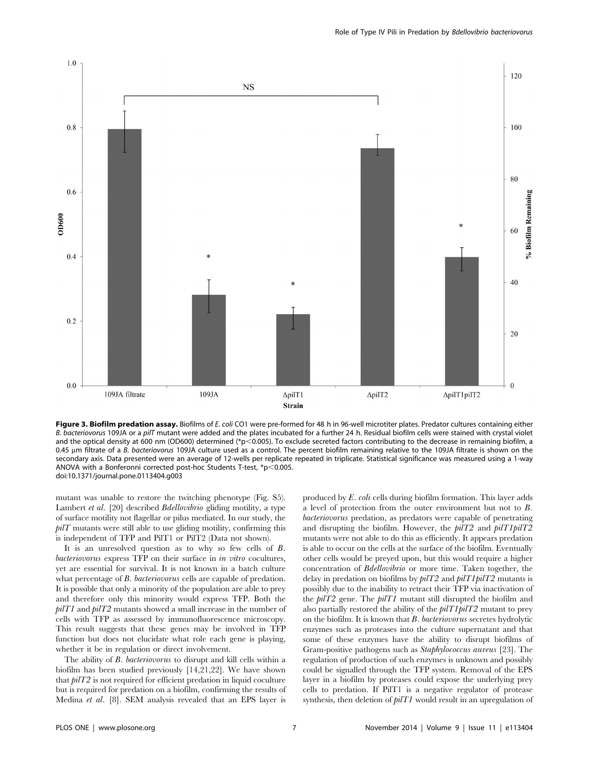

Figure 3. Biofilm predation assay. Biofilms of E. coli CO1 were pre-formed for 48 h in 96-well microtiter plates. Predator cultures containing either B. bacteriovorus 109JA or a pilT mutant were added and the plates incubated for a further 24 h. Residual biofilm cells were stained with crystal violet and the optical density at 600 nm (OD600) determined (\*p<0.005). To exclude secreted factors contributing to the decrease in remaining biofilm, a 0.45 µm filtrate of a B. bacteriovorus 109JA culture used as a control. The percent biofilm remaining relative to the 109JA filtrate is shown on the secondary axis. Data presented were an average of 12-wells per replicate repeated in triplicate. Statistical significance was measured using a 1-way ANOVA with a Bonferonni corrected post-hoc Students T-test,  $p$  < 0.005. doi:10.1371/journal.pone.0113404.g003

mutant was unable to restore the twitching phenotype (Fig. S5). Lambert et al. [20] described *Bdellovibrio* gliding motility, a type of surface motility not flagellar or pilus mediated. In our study, the  $piT$  mutants were still able to use gliding motility, confirming this is independent of TFP and PilT1 or PilT2 (Data not shown).

It is an unresolved question as to why so few cells of B. bacteriovorus express TFP on their surface in in vitro cocultures, yet are essential for survival. It is not known in a batch culture what percentage of *B. bacteriovorus* cells are capable of predation. It is possible that only a minority of the population are able to prey and therefore only this minority would express TFP. Both the  $piTT$  and  $piT2$  mutants showed a small increase in the number of cells with TFP as assessed by immunofluorescence microscopy. This result suggests that these genes may be involved in TFP function but does not elucidate what role each gene is playing, whether it be in regulation or direct involvement.

The ability of *B. bacteriovorus* to disrupt and kill cells within a biofilm has been studied previously [14,21,22]. We have shown that pilT2 is not required for efficient predation in liquid coculture but is required for predation on a biofilm, confirming the results of Medina et al. [8]. SEM analysis revealed that an EPS layer is

produced by E. coli cells during biofilm formation. This layer adds a level of protection from the outer environment but not to B. bacteriovorus predation, as predators were capable of penetrating and disrupting the biofilm. However, the  $piT2$  and  $piT1piT2$ mutants were not able to do this as efficiently. It appears predation is able to occur on the cells at the surface of the biofilm. Eventually other cells would be preyed upon, but this would require a higher concentration of Bdellovibrio or more time. Taken together, the delay in predation on biofilms by  $piT2$  and  $piT1piT2$  mutants is possibly due to the inability to retract their TFP via inactivation of the  $piT2$  gene. The  $piT1$  mutant still disrupted the biofilm and also partially restored the ability of the  $piT1piT2$  mutant to prey on the biofilm. It is known that B. bacteriovorus secretes hydrolytic enzymes such as proteases into the culture supernatant and that some of these enzymes have the ability to disrupt biofilms of Gram-positive pathogens such as Staphylococcus aureus [23]. The regulation of production of such enzymes is unknown and possibly could be signalled through the TFP system. Removal of the EPS layer in a biofilm by proteases could expose the underlying prey cells to predation. If PilT1 is a negative regulator of protease synthesis, then deletion of  $pilT1$  would result in an upregulation of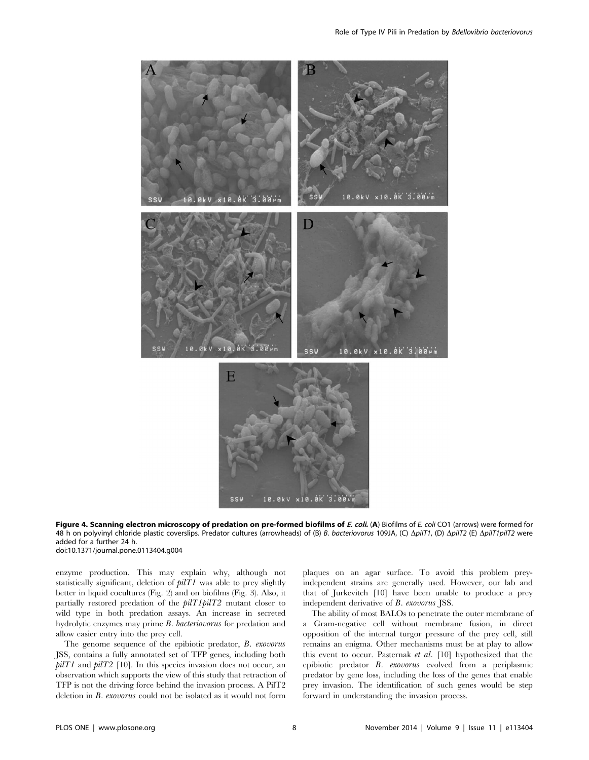

Figure 4. Scanning electron microscopy of predation on pre-formed biofilms of E. coli. (A) Biofilms of E. coli CO1 (arrows) were formed for 48 h on polyvinyl chloride plastic coverslips. Predator cultures (arrowheads) of (B) B. bacteriovorus 109JA, (C) ΔpilT1, (D) ΔpilT2 (E) ΔpilT1pilT2 were added for a further 24 h. doi:10.1371/journal.pone.0113404.g004

enzyme production. This may explain why, although not statistically significant, deletion of  $pilT1$  was able to prey slightly better in liquid cocultures (Fig. 2) and on biofilms (Fig. 3). Also, it partially restored predation of the pilT1pilT2 mutant closer to wild type in both predation assays. An increase in secreted hydrolytic enzymes may prime B. bacteriovorus for predation and allow easier entry into the prey cell.

The genome sequence of the epibiotic predator, B. exovorus JSS, contains a fully annotated set of TFP genes, including both  $piTT$  and  $piT2$  [10]. In this species invasion does not occur, an observation which supports the view of this study that retraction of TFP is not the driving force behind the invasion process. A PilT2 deletion in B. exovorus could not be isolated as it would not form

plaques on an agar surface. To avoid this problem preyindependent strains are generally used. However, our lab and that of Jurkevitch [10] have been unable to produce a prey independent derivative of B. exovorus JSS.

The ability of most BALOs to penetrate the outer membrane of a Gram-negative cell without membrane fusion, in direct opposition of the internal turgor pressure of the prey cell, still remains an enigma. Other mechanisms must be at play to allow this event to occur. Pasternak et al. [10] hypothesized that the epibiotic predator B. exovorus evolved from a periplasmic predator by gene loss, including the loss of the genes that enable prey invasion. The identification of such genes would be step forward in understanding the invasion process.